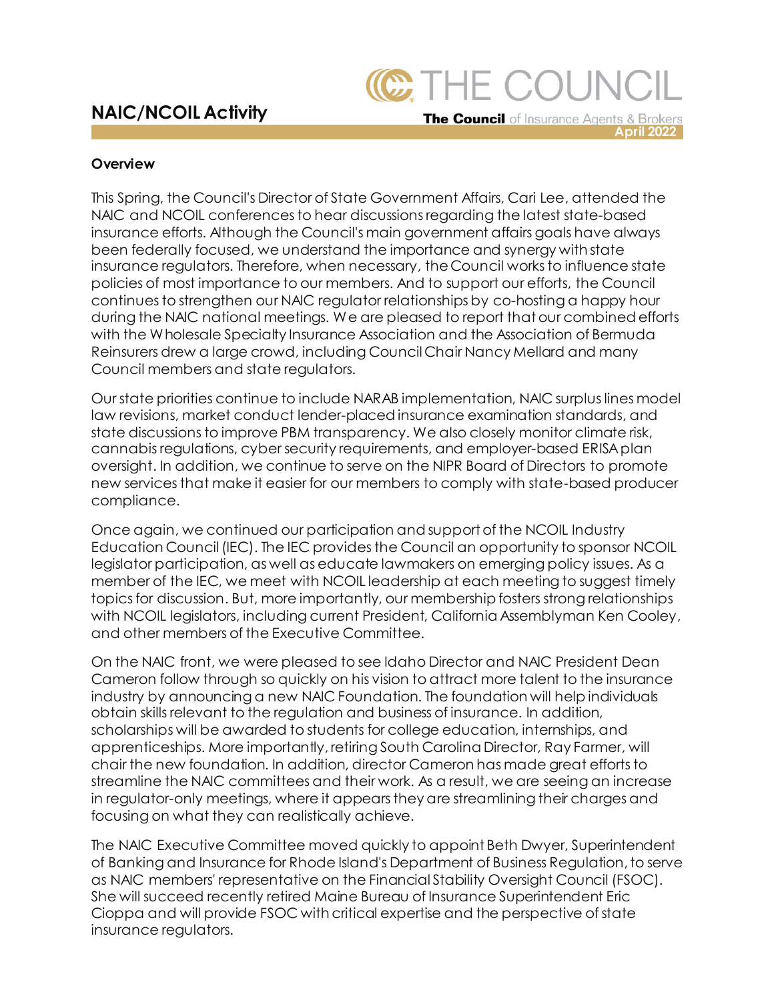# **NAIC/NCOIL Activity**

# **CETHE COUNCIL**

The Council of Insurance Agents & Brokers **April 2022**

#### **Overview**

This Spring, the Council's Director of State Government Affairs, Cari Lee, attended the NAIC and NCOIL conferences to hear discussions regarding the latest state-based insurance efforts. Although the Council's main government affairs goals have always been federally focused, we understand the importance and synergy with state insurance regulators. Therefore, when necessary, the Council works to influence state policies of most importance to our members. And to support our efforts, the Council continues to strengthen our NAIC regulator relationships by co-hosting a happy hour during the NAIC national meetings. We are pleased to report that our combined efforts with the Wholesale Specialty Insurance Association and the Association of Bermuda Reinsurers drew a large crowd, including Council Chair Nancy Mellard and many Council members and state regulators.

Our state priorities continue to include NARAB implementation, NAIC surplus lines model law revisions, market conduct lender-placed insurance examination standards, and state discussions to improve PBM transparency. We also closely monitor climate risk, cannabis regulations, cyber security requirements, and employer-based ERISA plan oversight. In addition, we continue to serve on the NIPR Board of Directors to promote new services that make it easier for our members to comply with state-based producer compliance.

Once again, we continued our participation and support of the NCOIL Industry Education Council (IEC). The IEC provides the Council an opportunity to sponsor NCOIL legislator participation, as well as educate lawmakers on emerging policy issues. As a member of the IEC, we meet with NCOIL leadership at each meeting to suggest timely topicsfor discussion. But, more importantly, our membership fosters strong relationships with NCOIL legislators, including current President, California Assemblyman Ken Cooley, and other members of the Executive Committee.

On the NAIC front, we were pleased to see Idaho Director and NAIC President Dean Cameron follow through so quickly on his vision to attract more talent to the insurance industry by announcing a new NAIC Foundation. The foundation will help individuals obtain skills relevant to the regulation and business of insurance. In addition, scholarships will be awarded to students for college education, internships, and apprenticeships. More importantly, retiring South Carolina Director, Ray Farmer, will chair the new foundation. In addition, director Cameron has made great efforts to streamline the NAIC committees and their work. As a result, we are seeing an increase in regulator-only meetings, where it appears they are streamlining their charges and focusing on what they can realistically achieve.

The NAIC Executive Committee moved quickly to appoint Beth Dwyer, Superintendent of Banking and Insurance for Rhode Island's Department of Business Regulation, to serve as NAIC members' representative on the Financial Stability Oversight Council (FSOC). She will succeed recently retired Maine Bureau of Insurance Superintendent Eric Cioppa and will provide FSOC with critical expertise and the perspective of state insurance regulators.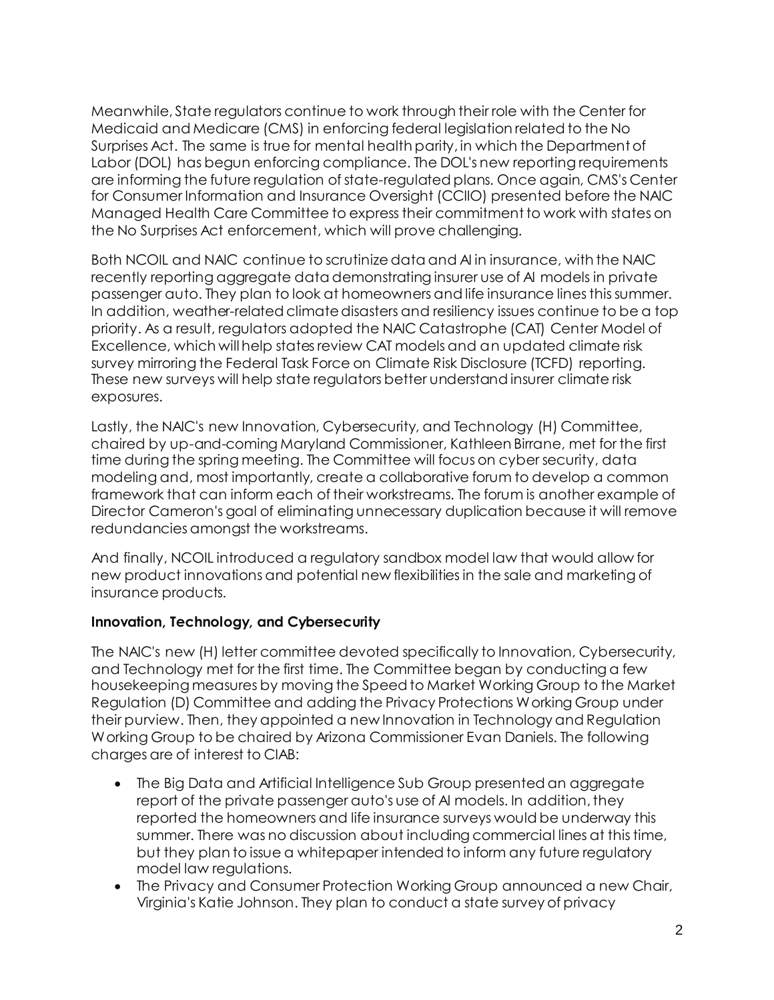Meanwhile, State regulators continue to work through their role with the Center for Medicaid and Medicare (CMS) in enforcing federal legislation related to the No Surprises Act. The same is true for mental health parity, in which the Department of Labor (DOL) has begun enforcing compliance. The DOL's new reporting requirements are informing the future regulation of state-regulated plans. Once again, CMS's Center for Consumer Information and Insurance Oversight (CCIIO) presented before the NAIC Managed Health Care Committee to express their commitment to work with states on the No Surprises Act enforcement, which will prove challenging.

Both NCOIL and NAIC continue to scrutinize data and AI in insurance, with the NAIC recently reporting aggregate data demonstrating insurer use of AI models in private passenger auto. They plan to look at homeowners and life insurance lines this summer. In addition, weather-related climate disasters and resiliency issues continue to be a top priority. As a result, regulators adopted the NAIC Catastrophe (CAT) Center Model of Excellence, which will help states review CAT models and an updated climate risk survey mirroring the Federal Task Force on Climate Risk Disclosure (TCFD) reporting. These new surveys will help state regulators better understand insurer climate risk exposures.

Lastly, the NAIC's new Innovation, Cybersecurity, and Technology (H) Committee, chaired by up-and-coming Maryland Commissioner, Kathleen Birrane, met for the first time during the spring meeting. The Committee will focus on cyber security, data modeling and, most importantly, create a collaborative forum to develop a common framework that can inform each of their workstreams. The forum is another example of Director Cameron's goal of eliminating unnecessary duplication because it will remove redundancies amongst the workstreams.

And finally, NCOIL introduced a regulatory sandbox model law that would allow for new product innovations and potential new flexibilities in the sale and marketing of insurance products.

#### **Innovation, Technology, and Cybersecurity**

The NAIC's new (H) letter committee devoted specifically to Innovation, Cybersecurity, and Technology met for the first time. The Committee began by conducting a few housekeeping measures by moving the Speed to Market Working Group to the Market Regulation (D) Committee and adding the Privacy Protections Working Group under their purview. Then, they appointed a new Innovation in Technology and Regulation Working Group to be chaired by Arizona Commissioner Evan Daniels. The following charges are of interest to CIAB:

- The Big Data and Artificial Intelligence Sub Group presented an aggregate report of the private passenger auto's use of AI models. In addition, they reported the homeowners and life insurance surveys would be underway this summer. There was no discussion about including commercial lines at this time, but they plan to issue a whitepaper intended to inform any future regulatory model law regulations.
- The Privacy and Consumer Protection Working Group announced a new Chair, Virginia's Katie Johnson. They plan to conduct a state survey of privacy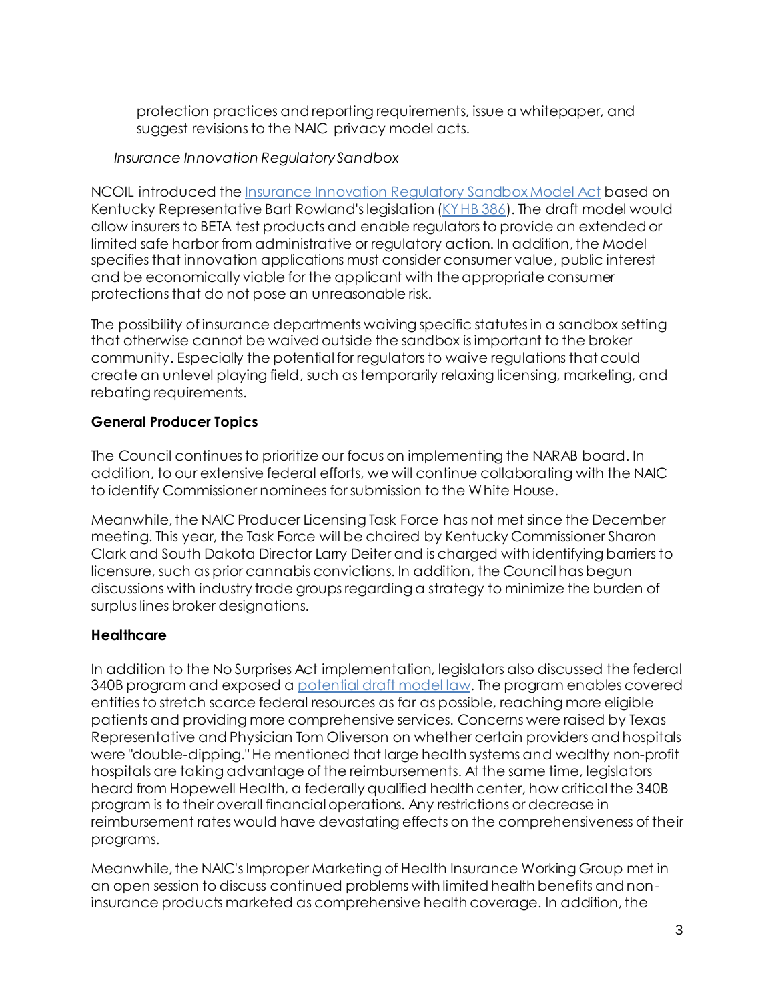protection practices and reporting requirements, issue a whitepaper, and suggest revisions to the NAIC privacy model acts.

#### *Insurance Innovation Regulatory Sandbox*

NCOIL introduced the [Insurance Innovation Regulatory Sandbox Model Act](https://secureservercdn.net/50.62.194.59/33a.fce.mwp.accessdomain.com/wp-content/uploads/2021/10/NCOIL-Draft-Insurance-Sandbox-Model-10-19-21.pdf) based on Kentucky Representative Bart Rowland's legislation [\(KY HB 386\)](https://apps.legislature.ky.gov/record/19rs/hb386.html). The draft model would allow insurers to BETA test products and enable regulators to provide an extended or limited safe harbor from administrative or regulatory action. In addition, the Model specifies that innovation applications must consider consumer value, public interest and be economically viable for the applicant with the appropriate consumer protections that do not pose an unreasonable risk.

The possibility of insurance departments waiving specific statutes in a sandbox setting that otherwise cannot be waived outside the sandbox is important to the broker community. Especially the potential for regulators to waive regulations that could create an unlevel playing field, such astemporarily relaxing licensing, marketing, and rebating requirements.

## **General Producer Topics**

The Council continues to prioritize our focus on implementing the NARAB board. In addition, to our extensive federal efforts, we will continue collaborating with the NAIC to identify Commissioner nominees for submission to the White House.

Meanwhile, the NAIC Producer Licensing Task Force has not met since the December meeting. This year, the Task Force will be chaired by Kentucky Commissioner Sharon Clark and South Dakota Director Larry Deiter and is charged with identifying barriers to licensure, such as prior cannabis convictions. In addition, the Council has begun discussions with industry trade groups regarding a strategy to minimize the burden of surplus lines broker designations.

# **Healthcare**

In addition to the No Surprises Act implementation, legislators also discussed the federal 340B program and exposed [a potential draft model law](https://secureservercdn.net/50.62.194.59/33a.fce.mwp.accessdomain.com/wp-content/uploads/2022/03/Draft-340B-Language-1.pdf). The program enables covered entities to stretch scarce federal resources as far as possible, reaching more eligible patients and providing more comprehensive services. Concerns were raised by Texas Representative and Physician Tom Oliverson on whether certain providers and hospitals were "double-dipping." He mentioned that large health systems and wealthy non-profit hospitals are taking advantage of the reimbursements. At the same time, legislators heard from Hopewell Health, a federally qualified health center, how critical the 340B program is to their overall financial operations. Any restrictions or decrease in reimbursement rates would have devastating effects on the comprehensiveness of their programs.

Meanwhile, the NAIC'sImproper Marketing of Health Insurance Working Group met in an open session to discuss continued problems with limited health benefits and noninsurance products marketed as comprehensive health coverage. In addition, the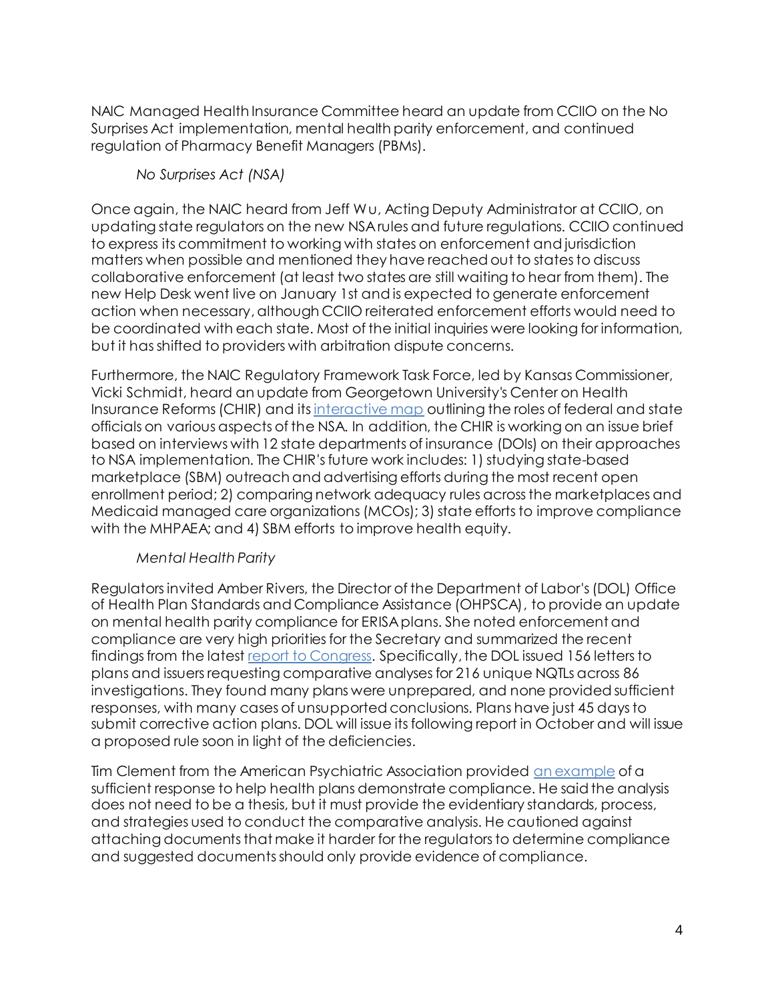NAIC Managed Health Insurance Committee heard an update from CCIIO on the No Surprises Act implementation, mental health parity enforcement, and continued regulation of Pharmacy Benefit Managers (PBMs).

#### *No Surprises Act (NSA)*

Once again, the NAIC heard from Jeff Wu, Acting Deputy Administrator at CCIIO, on updating state regulators on the new NSA rules and future regulations. CCIIO continued to express its commitment to working with states on enforcement and jurisdiction matters when possible and mentioned they have reached out to states to discuss collaborative enforcement (at least two states are still waiting to hear from them). The new Help Desk went live on January 1st and is expected to generate enforcement action when necessary, although CCIIO reiterated enforcement efforts would need to be coordinated with each state. Most of the initial inquiries were looking for information, but it has shifted to providers with arbitration dispute concerns.

Furthermore, the NAIC Regulatory Framework Task Force, led by Kansas Commissioner, Vicki Schmidt, heard an update from Georgetown University's Center on Health Insurance Reforms (CHIR) and it[sinteractive map](https://www.google.com/url?client=internal-element-cse&cx=008355105946167973810:pizbhsy2noa&q=https://surprisemedicalbills.chir.georgetown.edu/state-efforts/&sa=U&ved=2ahUKEwj26cza25b3AhW7jokEHf-5C18QFnoECAMQAQ&usg=AOvVaw2erYRuAfTJJ62oFtlbYctb) outlining the roles of federal and state officials on various aspects of the NSA. In addition, the CHIR is working on an issue brief based on interviews with 12 state departments of insurance (DOIs) on their approaches to NSA implementation. The CHIR's future work includes: 1) studying state-based marketplace (SBM) outreach and advertising efforts during the most recent open enrollment period; 2) comparing network adequacy rules across the marketplaces and Medicaid managed care organizations (MCOs); 3) state efforts to improve compliance with the MHPAEA; and 4) SBM efforts to improve health equity.

## *Mental Health Parity*

Regulators invited Amber Rivers, the Director of the Department of Labor's (DOL) Office of Health Plan Standards and Compliance Assistance (OHPSCA), to provide an update on mental health parity compliance for ERISA plans. She noted enforcement and compliance are very high prioritiesfor the Secretary and summarized the recent findingsfrom the lates[t report to Congress.](https://www.dol.gov/sites/dolgov/files/EBSA/laws-and-regulations/laws/mental-health-parity/report-to-congress-2022-realizing-parity-reducing-stigma-and-raising-awareness.pdf) Specifically, the DOL issued 156 letters to plans and issuers requesting comparative analyses for 216 unique NQTLs across 86 investigations. They found many plans were unprepared, and none provided sufficient responses, with many cases of unsupported conclusions. Plans have just 45 days to submit corrective action plans. DOL will issue itsfollowing report in October and will issue a proposed rule soon in light of the deficiencies.

Tim Clement from the American Psychiatric Association provide[d an example](https://content.naic.org/sites/default/files/national_meeting/MHPAEA%20WG%20Materials%20-%20NQTL%20Example.pdf) of a sufficient response to help health plans demonstrate compliance. He said the analysis does not need to be a thesis, but it must provide the evidentiary standards, process, and strategies used to conduct the comparative analysis. He cautioned against attaching documents that make it harder for the regulators to determine compliance and suggested documents should only provide evidence of compliance.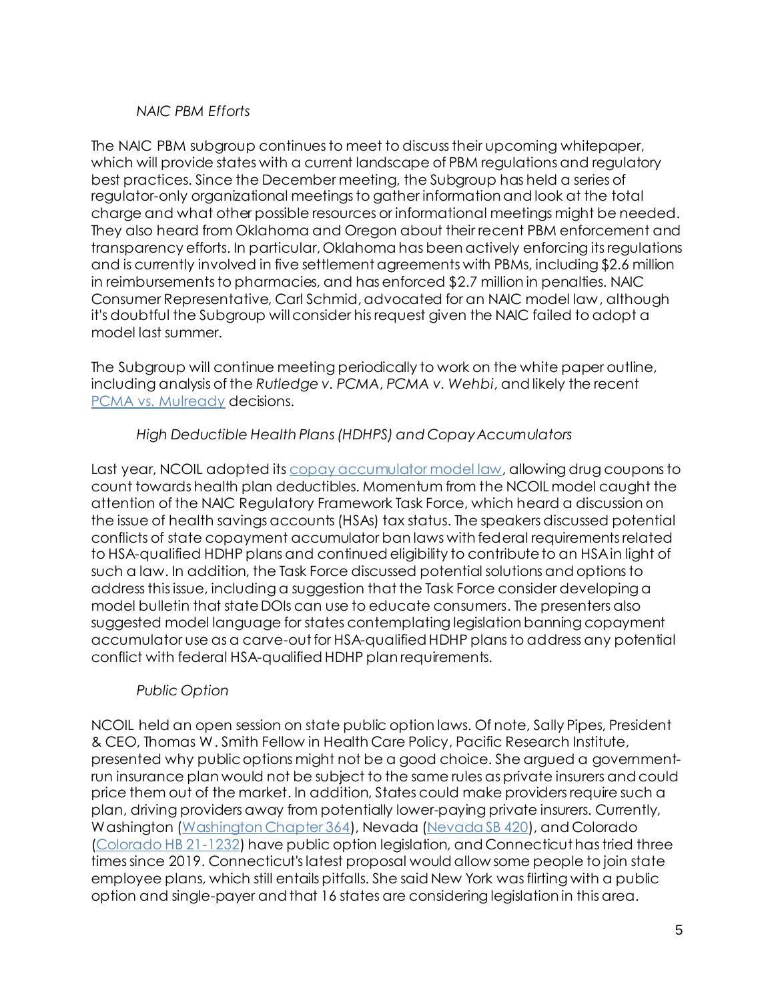#### *NAIC PBM Efforts*

The NAIC PBM subgroup continues to meet to discuss their upcoming whitepaper, which will provide states with a current landscape of PBM regulations and regulatory best practices. Since the December meeting, the Subgroup has held a series of regulator-only organizational meetings to gather information and look at the total charge and what other possible resources or informational meetings might be needed. They also heard from Oklahoma and Oregon about their recent PBM enforcement and transparency efforts. In particular, Oklahoma has been actively enforcing itsregulations and is currently involved in five settlement agreements with PBMs, including \$2.6 million in reimbursements to pharmacies, and has enforced \$2.7 million in penalties. NAIC Consumer Representative, Carl Schmid, advocated for an NAIC model law, although it's doubtful the Subgroup will consider his request given the NAIC failed to adopt a model last summer.

The Subgroup will continue meeting periodically to work on the white paper outline, including analysis of the *Rutledge v. PCMA*, *PCMA v. Wehbi*, and likely the recent [PCMA vs. Mulready](https://www.bloomberglaw.com/public/desktop/document/PharmaceuticalCareManagementAssociationvMulreadyetalDocketNo519cv/10?1649972844) decisions.

## *High Deductible Health Plans (HDHPS) and Copay Accumulators*

Last year, NCOIL adopted it[s copay accumulator model law](https://secureservercdn.net/50.62.194.59/33a.fce.mwp.accessdomain.com/wp-content/uploads/2021/11/NCOIL-Accumulator-Model-11-20-21.pdf), allowing drug coupons to count towards health plan deductibles. Momentum from the NCOIL model caught the attention of the NAIC Regulatory Framework Task Force, which heard a discussion on the issue of health savings accounts (HSAs) tax status. The speakers discussed potential conflicts of state copayment accumulator ban laws with federal requirements related to HSA-qualified HDHP plans and continued eligibility to contribute to an HSA in light of such a law. In addition, the Task Force discussed potential solutions and options to address this issue, including a suggestion that the Task Force consider developing a model bulletin that state DOIs can use to educate consumers. The presenters also suggested model language for states contemplating legislation banning copayment accumulator use as a carve-out for HSA-qualified HDHP plans to address any potential conflict with federal HSA-qualified HDHP plan requirements.

## *Public Option*

NCOIL held an open session on state public option laws. Of note, Sally Pipes, President & CEO, Thomas W. Smith Fellow in Health Care Policy, Pacific Research Institute, presented why public options might not be a good choice. She argued a governmentrun insurance plan would not be subject to the same rules as private insurers and could price them out of the market. In addition, States could make providers require such a plan, driving providers away from potentially lower-paying private insurers. Currently, Washington [\(Washington Chapter 364](https://lawfilesext.leg.wa.gov/biennium/2019-20/Pdf/Bills/Session%20Laws/Senate/5526-S.SL.pdf)), Nevada [\(Nevada SB 420](https://www.leg.state.nv.us/Session/81st2021/Bills/SB/SB420_EN.pdf)), and Colorado [\(Colorado HB 21-1232\)](https://leg.colorado.gov/sites/default/files/2021a_1232_signed.pdf) have public option legislation, and Connecticut hastried three times since 2019. Connecticut's latest proposal would allow some people to join state employee plans, which still entails pitfalls. She said New York was flirting with a public option and single-payer and that 16 states are considering legislation in this area.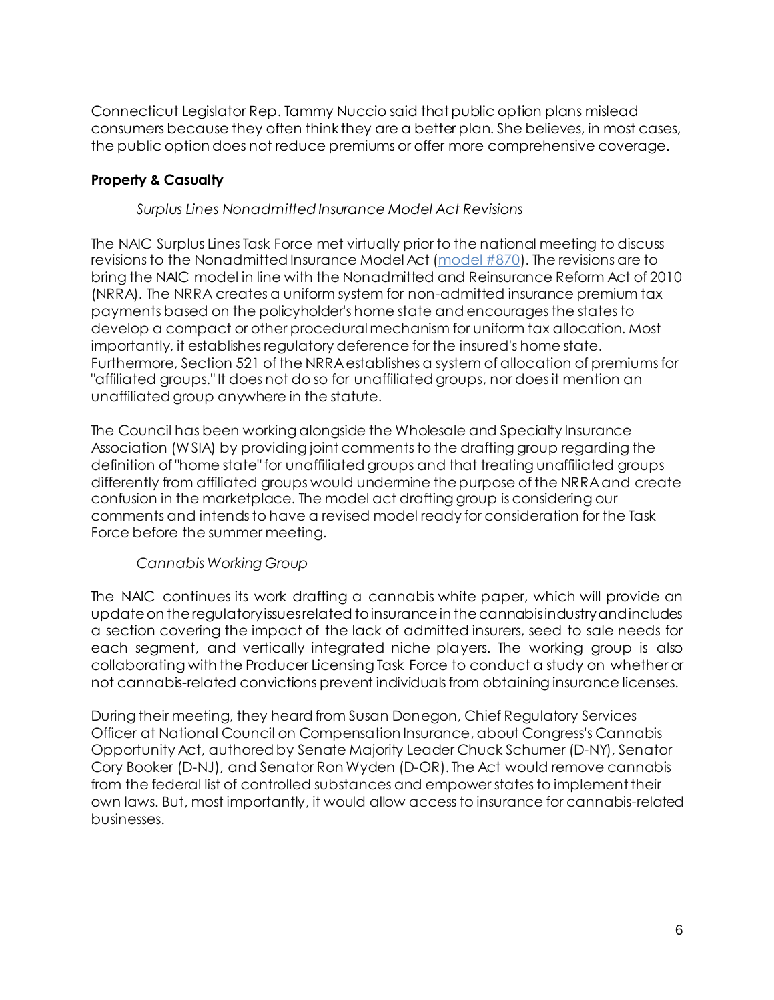Connecticut Legislator Rep. Tammy Nuccio said that public option plans mislead consumers because they often think they are a better plan. She believes, in most cases, the public option does not reduce premiums or offer more comprehensive coverage.

# **Property & Casualty**

*Surplus Lines Nonadmitted Insurance Model Act Revisions*

The NAIC Surplus Lines Task Force met virtually prior to the national meeting to discuss revisions to the Nonadmitted Insurance Model Act [\(model #870\)](https://www.google.com/url?client=internal-element-cse&cx=012416555441880592692:n8fkiw-ozik&q=https://content.naic.org/sites/default/files/inline-files/MDL-870.pdf&sa=U&ved=2ahUKEwiUqNfqxJ31AhWEkokEHe8_B-wQFnoECAQQAQ&usg=AOvVaw2hFeKNn2io4G5Bq6HplPIS). The revisions are to bring the NAIC model in line with the Nonadmitted and Reinsurance Reform Act of 2010 (NRRA). The NRRA creates a uniform system for non-admitted insurance premium tax payments based on the policyholder's home state and encourages the states to develop a compact or other procedural mechanism for uniform tax allocation. Most importantly, it establishes regulatory deference for the insured's home state. Furthermore, Section 521 of the NRRA establishes a system of allocation of premiumsfor "affiliated groups." It does not do so for unaffiliated groups, nor does it mention an unaffiliated group anywhere in the statute.

The Council has been working alongside the Wholesale and Specialty Insurance Association (WSIA) by providing joint comments to the drafting group regarding the definition of "home state" for unaffiliated groups and that treating unaffiliated groups differently from affiliated groups would undermine the purpose of the NRRA and create confusion in the marketplace. The model act drafting group is considering our comments and intendsto have a revised model ready for consideration for the Task Force before the summer meeting.

## *Cannabis Working Group*

The NAIC continues its work drafting a cannabis white paper, which will provide an update on the regulatory issues related to insurance in the cannabis industry and includes a section covering the impact of the lack of admitted insurers, seed to sale needs for each segment, and vertically integrated niche players. The working group is also collaborating with the Producer Licensing Task Force to conduct a study on whether or not cannabis-related convictions prevent individuals from obtaining insurance licenses.

During their meeting, they heard from Susan Donegon, Chief Regulatory Services Officer at National Council on Compensation Insurance,about Congress's Cannabis Opportunity Act, authored by Senate Majority Leader Chuck Schumer (D-NY), Senator Cory Booker (D-NJ), and Senator Ron Wyden (D-OR). The Act would remove cannabis from the federal list of controlled substances and empower states to implement their own laws. But, most importantly, it would allow access to insurance for cannabis-related businesses.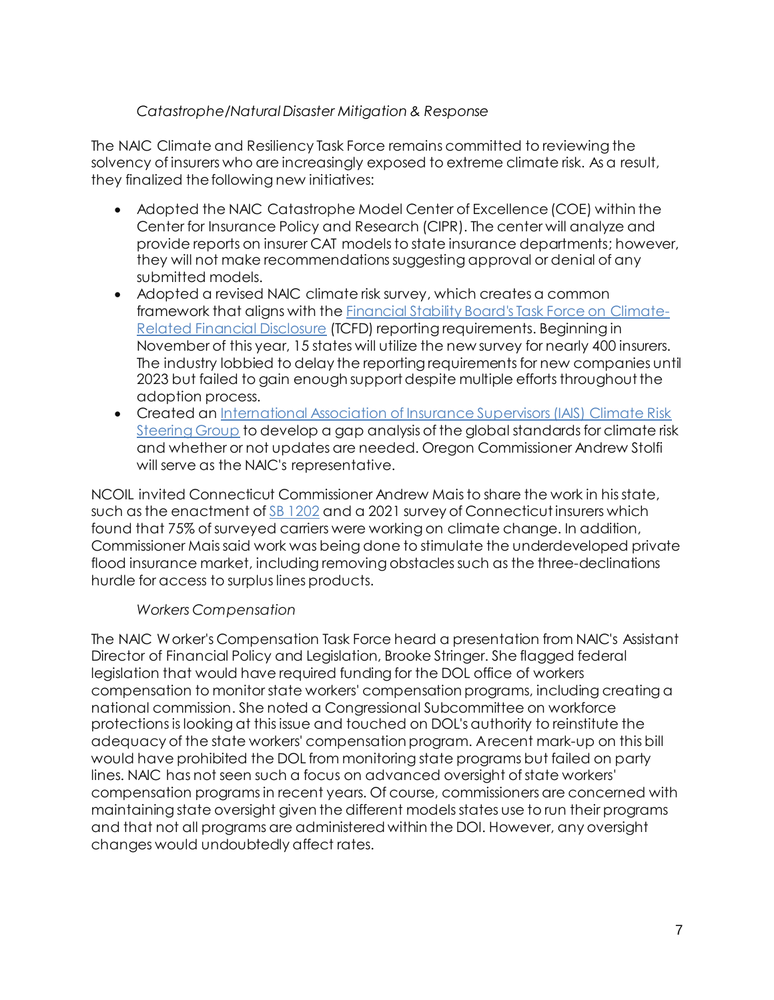## *Catastrophe/Natural Disaster Mitigation & Response*

The NAIC Climate and Resiliency Task Force remains committed to reviewing the solvency of insurers who are increasingly exposed to extreme climate risk. As a result, they finalized the following new initiatives:

- Adopted the NAIC Catastrophe Model Center of Excellence (COE) within the Center for Insurance Policy and Research (CIPR). The center will analyze and provide reports on insurer CAT models to state insurance departments; however, they will not make recommendations suggesting approval or denial of any submitted models.
- Adopted a revised NAIC climate risk survey, which creates a common framework that aligns with th[e Financial Stability Board's Task Force on Climate-](https://www.fsb-tcfd.org/)[Related Financial Disclosure](https://www.fsb-tcfd.org/) (TCFD) reporting requirements. Beginning in November of this year, 15 states will utilize the new survey for nearly 400 insurers. The industry lobbied to delay the reporting requirements for new companies until 2023 but failed to gain enough support despite multiple efforts throughout the adoption process.
- Created a[n International Association of Insurance Supervisors \(IAIS\) Climate Risk](https://www.iaisweb.org/page/supervisory-material/financial-stability/global-insurance-market-report-gimar)  [Steering Group](https://www.iaisweb.org/page/supervisory-material/financial-stability/global-insurance-market-report-gimar) to develop a gap analysis of the global standards for climate risk and whether or not updates are needed. Oregon Commissioner Andrew Stolfi will serve as the NAIC's representative.

NCOIL invited Connecticut Commissioner Andrew Maisto share the work in his state, such as the enactment of  $SB$  1202 and a 2021 survey of Connecticut insurers which found that 75% of surveyed carriers were working on climate change. In addition, Commissioner Mais said work was being done to stimulate the underdeveloped private flood insurance market, including removing obstacles such as the three-declinations hurdle for access to surplus lines products.

#### *Workers Compensation*

The NAIC Worker's Compensation Task Force heard a presentation from NAIC's Assistant Director of Financial Policy and Legislation, Brooke Stringer. She flagged federal legislation that would have required funding for the DOL office of workers compensation to monitor state workers' compensation programs, including creating a national commission. She noted a Congressional Subcommittee on workforce protections is looking at this issue and touched on DOL's authority to reinstitute the adequacy of the state workers' compensation program. A recent mark-up on this bill would have prohibited the DOL from monitoring state programs but failed on party lines. NAIC has not seen such a focus on advanced oversight of state workers' compensation programs in recent years. Of course, commissioners are concerned with maintaining state oversight given the different models states use to run their programs and that not all programs are administered within the DOI. However, any oversight changes would undoubtedly affect rates.